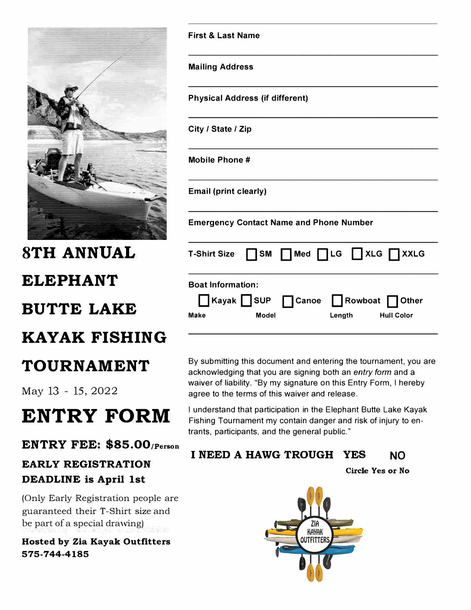

# **8TH ANNUAL ELEPHANT BUTTE LAKE KAYAK FISHING**

### **TOURNAMENT**

May 13 - 15, 2022

# **ENTRY FORM**

#### **ENTRY FEE: \$85.00;Person**

### **EARLY REGISTRATION DEADLINE is April 1st**

(Only Early Registration people are guaranteed their T-Shirt size and be part of a special drawing)

#### **Hosted by Zia Kayak Outfitters 575-744-4185**

| <b>Mailing Address</b>                                                                                           |
|------------------------------------------------------------------------------------------------------------------|
| <b>Physical Address (if different)</b>                                                                           |
| City / State / Zip                                                                                               |
| <b>Mobile Phone#</b>                                                                                             |
| <b>Email (print clearly)</b>                                                                                     |
| <b>Emergency Contact Name and Phone Number</b>                                                                   |
| T-Shirt Size $\Box$ SM $\Box$ Med $\Box$ LG $\Box$ XLG $\Box$ XXLG                                               |
| <b>Boat Information:</b><br>Kayak SUP Canoe Rowboat Other<br>Make<br><b>Model</b><br><b>Hull Color</b><br>Length |

**First** & **Last Name** 

By submitting this document and entering the tournament, you are acknowledging that you are signing both an *entry form* and a waiver of liability. "By my signature on this Entry Form, I hereby agree to the terms of this waiver and release.

I understand that participation in the Elephant Butte Lake Kayak Fishing Tournament my contain danger and risk of injury to entrants, participants, and the general public."

#### **I NEED A HAWG TROUGH YES NO**

**Circle Yes or No**